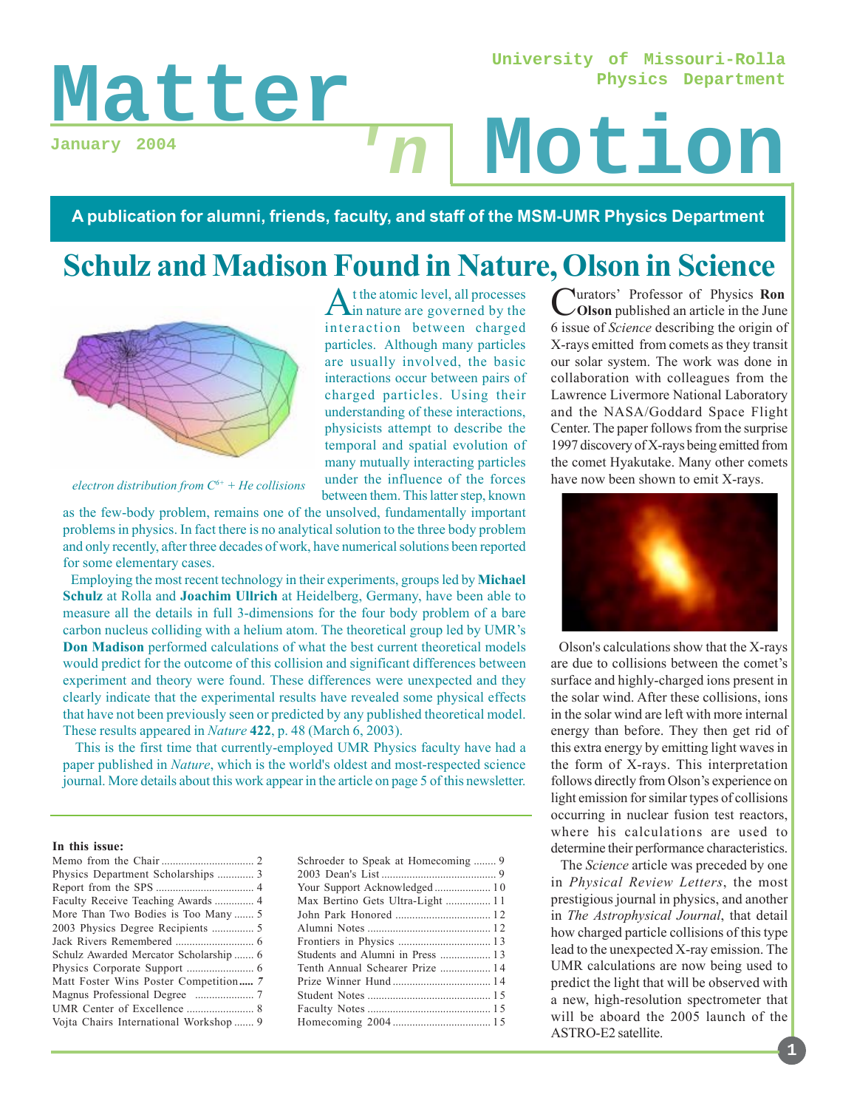**University of Missouri-Rolla Physics Department**

# Matter n Motion **January 2004**

**A publication for alumni, friends, faculty, and staff of the MSM-UMR Physics Department**

**'n**

# **Schulz and Madison Found in Nature, Olson in Science**

At the atomic level, all processes<br>in nature are governed by the interaction between charged particles. Although many particles are usually involved, the basic interactions occur between pairs of charged particles. Using their understanding of these interactions, physicists attempt to describe the temporal and spatial evolution of many mutually interacting particles under the influence of the forces between them. This latter step, known



*electron distribution from C6+ + He collisions*

as the few-body problem, remains one of the unsolved, fundamentally important problems in physics. In fact there is no analytical solution to the three body problem and only recently, after three decades of work, have numerical solutions been reported for some elementary cases.

 Employing the most recent technology in their experiments, groups led by **Michael Schulz** at Rolla and **Joachim Ullrich** at Heidelberg, Germany, have been able to measure all the details in full 3-dimensions for the four body problem of a bare carbon nucleus colliding with a helium atom. The theoretical group led by UMR's **Don Madison** performed calculations of what the best current theoretical models would predict for the outcome of this collision and significant differences between experiment and theory were found. These differences were unexpected and they clearly indicate that the experimental results have revealed some physical effects that have not been previously seen or predicted by any published theoretical model. These results appeared in *Nature* **422**, p. 48 (March 6, 2003).

 This is the first time that currently-employed UMR Physics faculty have had a paper published in *Nature*, which is the world's oldest and most-respected science journal. More details about this work appear in the article on page 5 of this newsletter.

#### **In this issue:**

| Physics Department Scholarships  3     |  |
|----------------------------------------|--|
|                                        |  |
| Faculty Receive Teaching Awards  4     |  |
| More Than Two Bodies is Too Many  5    |  |
|                                        |  |
|                                        |  |
| Schulz Awarded Mercator Scholarship  6 |  |
|                                        |  |
| Matt Foster Wins Poster Competition 7  |  |
|                                        |  |
|                                        |  |
| Vojta Chairs International Workshop  9 |  |

| Schroeder to Speak at Homecoming  9 |
|-------------------------------------|
|                                     |
|                                     |
| Max Bertino Gets Ultra-Light  11    |
|                                     |
|                                     |
|                                     |
|                                     |
| Tenth Annual Schearer Prize  14     |
|                                     |
|                                     |
|                                     |
|                                     |
|                                     |

Curators' Professor of Physics **Ron Olson** published an article in the June 6 issue of *Science* describing the origin of X-rays emitted from comets as they transit our solar system. The work was done in collaboration with colleagues from the Lawrence Livermore National Laboratory and the NASA/Goddard Space Flight Center. The paper follows from the surprise 1997 discovery of X-rays being emitted from the comet Hyakutake. Many other comets have now been shown to emit X-rays.



 Olson's calculations show that the X-rays are due to collisions between the comet's surface and highly-charged ions present in the solar wind. After these collisions, ions in the solar wind are left with more internal energy than before. They then get rid of this extra energy by emitting light waves in the form of X-rays. This interpretation follows directly from Olson's experience on light emission for similar types of collisions occurring in nuclear fusion test reactors, where his calculations are used to determine their performance characteristics.

 The *Science* article was preceded by one in *Physical Review Letters*, the most prestigious journal in physics, and another in *The Astrophysical Journal*, that detail how charged particle collisions of this type lead to the unexpected X-ray emission. The UMR calculations are now being used to predict the light that will be observed with a new, high-resolution spectrometer that will be aboard the 2005 launch of the ASTRO-E2 satellite.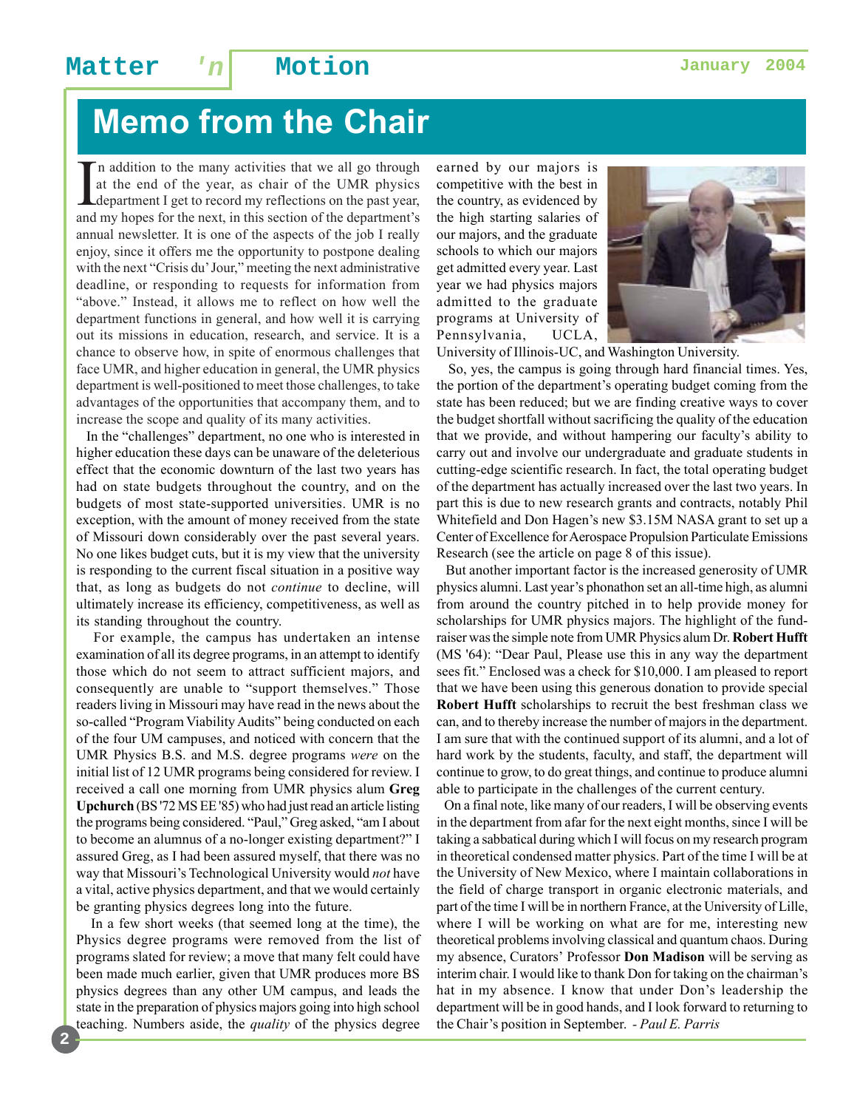# **Memo from the Chair**

In addition to the many activities that we all go through at the end of the year, as chair of the UMR physics department I get to record my reflections on the past year, and my hopes for the next, in this section of the de n addition to the many activities that we all go through at the end of the year, as chair of the UMR physics department I get to record my reflections on the past year, annual newsletter. It is one of the aspects of the job I really enjoy, since it offers me the opportunity to postpone dealing with the next "Crisis du' Jour," meeting the next administrative deadline, or responding to requests for information from "above." Instead, it allows me to reflect on how well the department functions in general, and how well it is carrying out its missions in education, research, and service. It is a chance to observe how, in spite of enormous challenges that face UMR, and higher education in general, the UMR physics department is well-positioned to meet those challenges, to take advantages of the opportunities that accompany them, and to increase the scope and quality of its many activities.

 In the "challenges" department, no one who is interested in higher education these days can be unaware of the deleterious effect that the economic downturn of the last two years has had on state budgets throughout the country, and on the budgets of most state-supported universities. UMR is no exception, with the amount of money received from the state of Missouri down considerably over the past several years. No one likes budget cuts, but it is my view that the university is responding to the current fiscal situation in a positive way that, as long as budgets do not *continue* to decline, will ultimately increase its efficiency, competitiveness, as well as its standing throughout the country.

 For example, the campus has undertaken an intense examination of all its degree programs, in an attempt to identify those which do not seem to attract sufficient majors, and consequently are unable to "support themselves." Those readers living in Missouri may have read in the news about the so-called "Program Viability Audits" being conducted on each of the four UM campuses, and noticed with concern that the UMR Physics B.S. and M.S. degree programs *were* on the initial list of 12 UMR programs being considered for review. I received a call one morning from UMR physics alum **Greg Upchurch** (BS '72 MS EE '85) who had just read an article listing the programs being considered. "Paul," Greg asked, "am I about to become an alumnus of a no-longer existing department?" I assured Greg, as I had been assured myself, that there was no way that Missouri's Technological University would *not* have a vital, active physics department, and that we would certainly be granting physics degrees long into the future.

 In a few short weeks (that seemed long at the time), the Physics degree programs were removed from the list of programs slated for review; a move that many felt could have been made much earlier, given that UMR produces more BS physics degrees than any other UM campus, and leads the state in the preparation of physics majors going into high school teaching. Numbers aside, the *quality* of the physics degree

earned by our majors is competitive with the best in the country, as evidenced by the high starting salaries of our majors, and the graduate schools to which our majors get admitted every year. Last year we had physics majors admitted to the graduate programs at University of Pennsylvania, UCLA,



University of Illinois-UC, and Washington University.

 So, yes, the campus is going through hard financial times. Yes, the portion of the department's operating budget coming from the state has been reduced; but we are finding creative ways to cover the budget shortfall without sacrificing the quality of the education that we provide, and without hampering our faculty's ability to carry out and involve our undergraduate and graduate students in cutting-edge scientific research. In fact, the total operating budget of the department has actually increased over the last two years. In part this is due to new research grants and contracts, notably Phil Whitefield and Don Hagen's new \$3.15M NASA grant to set up a Center of Excellence for Aerospace Propulsion Particulate Emissions Research (see the article on page 8 of this issue).

 But another important factor is the increased generosity of UMR physics alumni. Last year's phonathon set an all-time high, as alumni from around the country pitched in to help provide money for scholarships for UMR physics majors. The highlight of the fundraiser was the simple note from UMR Physics alum Dr. **Robert Hufft** (MS '64): "Dear Paul, Please use this in any way the department sees fit." Enclosed was a check for \$10,000. I am pleased to report that we have been using this generous donation to provide special **Robert Hufft** scholarships to recruit the best freshman class we can, and to thereby increase the number of majors in the department. I am sure that with the continued support of its alumni, and a lot of hard work by the students, faculty, and staff, the department will continue to grow, to do great things, and continue to produce alumni able to participate in the challenges of the current century.

 On a final note, like many of our readers, I will be observing events in the department from afar for the next eight months, since I will be taking a sabbatical during which I will focus on my research program in theoretical condensed matter physics. Part of the time I will be at the University of New Mexico, where I maintain collaborations in the field of charge transport in organic electronic materials, and part of the time I will be in northern France, at the University of Lille, where I will be working on what are for me, interesting new theoretical problems involving classical and quantum chaos. During my absence, Curators' Professor **Don Madison** will be serving as interim chair. I would like to thank Don for taking on the chairman's hat in my absence. I know that under Don's leadership the department will be in good hands, and I look forward to returning to the Chair's position in September. *- Paul E. Parris*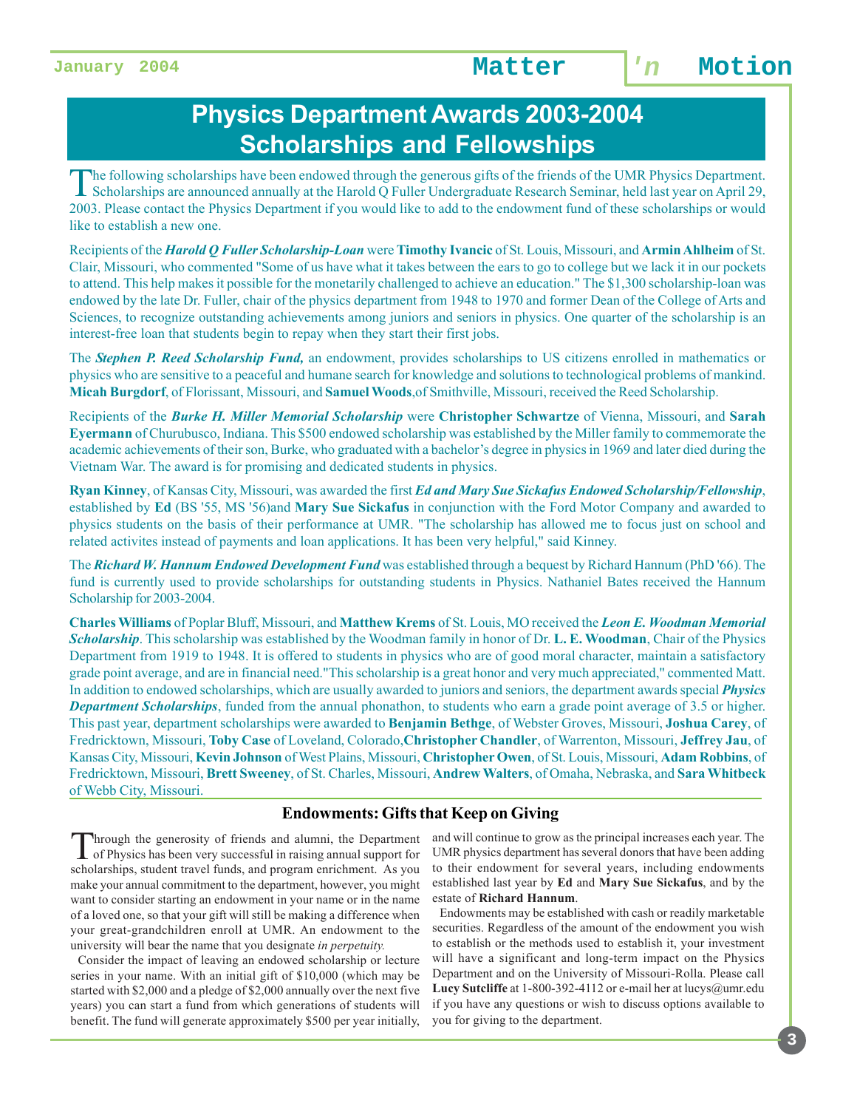## **Physics Department Awards 2003-2004 Scholarships and Fellowships**

The following scholarships have been endowed through the generous gifts of the friends of the UMR Physics Department. Scholarships are announced annually at the Harold Q Fuller Undergraduate Research Seminar, held last year on April 29, 2003. Please contact the Physics Department if you would like to add to the endowment fund of these scholarships or would like to establish a new one.

Recipients of the *Harold Q Fuller Scholarship-Loan* were **Timothy Ivancic** of St. Louis, Missouri, and **Armin Ahlheim** of St. Clair, Missouri, who commented "Some of us have what it takes between the ears to go to college but we lack it in our pockets to attend. This help makes it possible for the monetarily challenged to achieve an education." The \$1,300 scholarship-loan was endowed by the late Dr. Fuller, chair of the physics department from 1948 to 1970 and former Dean of the College of Arts and Sciences, to recognize outstanding achievements among juniors and seniors in physics. One quarter of the scholarship is an interest-free loan that students begin to repay when they start their first jobs.

The *Stephen P. Reed Scholarship Fund,* an endowment, provides scholarships to US citizens enrolled in mathematics or physics who are sensitive to a peaceful and humane search for knowledge and solutions to technological problems of mankind. **Micah Burgdorf**, of Florissant, Missouri, and **Samuel Woods**,of Smithville, Missouri, received the Reed Scholarship.

Recipients of the *Burke H. Miller Memorial Scholarship* were **Christopher Schwartze** of Vienna, Missouri, and **Sarah Eyermann** of Churubusco, Indiana. This \$500 endowed scholarship was established by the Miller family to commemorate the academic achievements of their son, Burke, who graduated with a bachelor's degree in physics in 1969 and later died during the Vietnam War. The award is for promising and dedicated students in physics.

**Ryan Kinney**, of Kansas City, Missouri, was awarded the first *Ed and Mary Sue Sickafus Endowed Scholarship/Fellowship*, established by **Ed** (BS '55, MS '56)and **Mary Sue Sickafus** in conjunction with the Ford Motor Company and awarded to physics students on the basis of their performance at UMR. "The scholarship has allowed me to focus just on school and related activites instead of payments and loan applications. It has been very helpful," said Kinney.

The *Richard W. Hannum Endowed Development Fund* was established through a bequest by Richard Hannum (PhD '66). The fund is currently used to provide scholarships for outstanding students in Physics. Nathaniel Bates received the Hannum Scholarship for 2003-2004.

**Charles Williams** of Poplar Bluff, Missouri, and **Matthew Krems** of St. Louis, MO received the *Leon E. Woodman Memorial Scholarship*. This scholarship was established by the Woodman family in honor of Dr. **L. E. Woodman**, Chair of the Physics Department from 1919 to 1948. It is offered to students in physics who are of good moral character, maintain a satisfactory grade point average, and are in financial need."This scholarship is a great honor and very much appreciated," commented Matt. In addition to endowed scholarships, which are usually awarded to juniors and seniors, the department awards special *Physics Department Scholarships*, funded from the annual phonathon, to students who earn a grade point average of 3.5 or higher. This past year, department scholarships were awarded to **Benjamin Bethge**, of Webster Groves, Missouri, **Joshua Carey**, of Fredricktown, Missouri, **Toby Case** of Loveland, Colorado,**Christopher Chandler**, of Warrenton, Missouri, **Jeffrey Jau**, of Kansas City, Missouri, **Kevin Johnson** of West Plains, Missouri, **Christopher Owen**, of St. Louis, Missouri, **Adam Robbins**, of Fredricktown, Missouri, **Brett Sweeney**, of St. Charles, Missouri, **Andrew Walters**, of Omaha, Nebraska, and **Sara Whitbeck** of Webb City, Missouri.

#### **Endowments: Gifts that Keep on Giving**

Through the generosity of friends and alumni, the Department of Physics has been very successful in raising annual support for scholarships, student travel funds, and program enrichment. As you make your annual commitment to the department, however, you might want to consider starting an endowment in your name or in the name of a loved one, so that your gift will still be making a difference when your great-grandchildren enroll at UMR. An endowment to the university will bear the name that you designate *in perpetuity.*

Consider the impact of leaving an endowed scholarship or lecture series in your name. With an initial gift of \$10,000 (which may be started with \$2,000 and a pledge of \$2,000 annually over the next five years) you can start a fund from which generations of students will benefit. The fund will generate approximately \$500 per year initially,

and will continue to grow as the principal increases each year. The UMR physics department has several donors that have been adding to their endowment for several years, including endowments established last year by **Ed** and **Mary Sue Sickafus**, and by the estate of **Richard Hannum**.

 Endowments may be established with cash or readily marketable securities. Regardless of the amount of the endowment you wish to establish or the methods used to establish it, your investment will have a significant and long-term impact on the Physics Department and on the University of Missouri-Rolla. Please call Lucy Sutcliffe at 1-800-392-4112 or e-mail her at lucys@umr.edu if you have any questions or wish to discuss options available to you for giving to the department.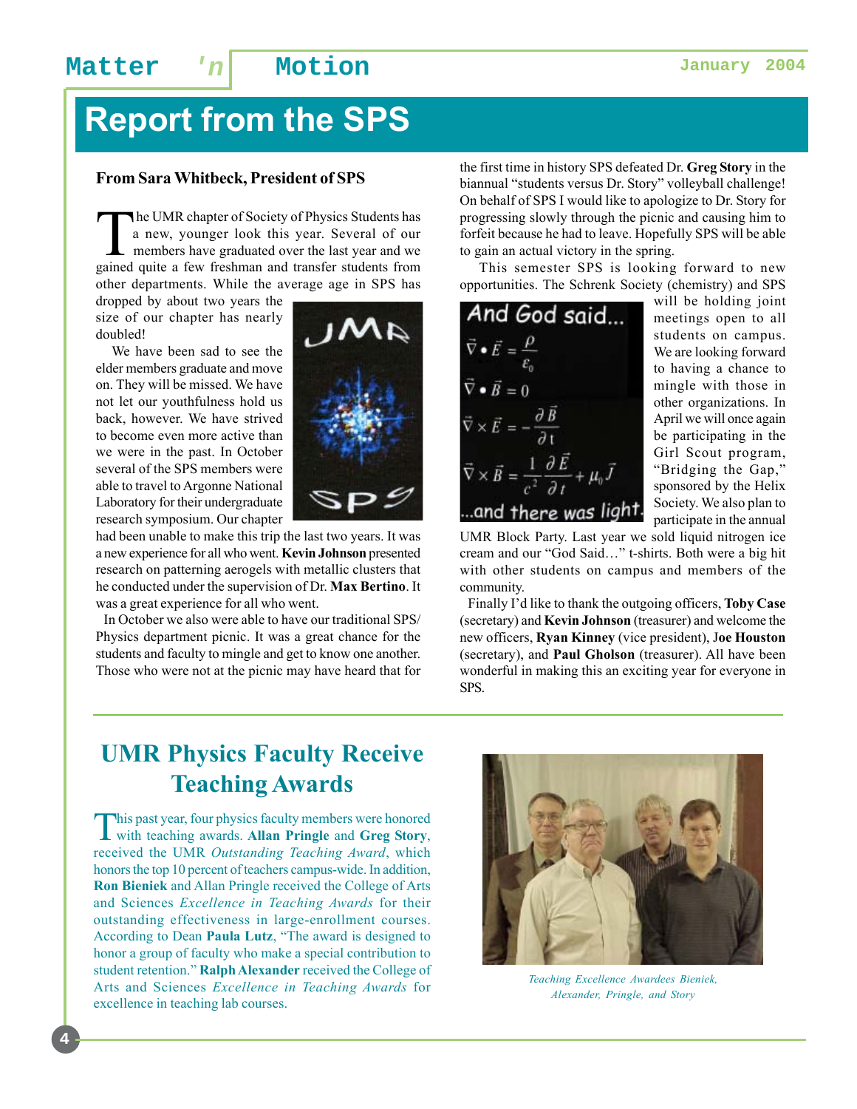# **Report from the SPS**

#### **From Sara Whitbeck, President of SPS**

The UMR chapter of Society of Physics Students has<br>a new, younger look this year. Several of our<br>members have graduated over the last year and we<br>goined quite a few freelman and transfer students from a new, younger look this year. Several of our members have graduated over the last year and we gained quite a few freshman and transfer students from other departments. While the average age in SPS has

dropped by about two years the size of our chapter has nearly doubled!

 We have been sad to see the elder members graduate and move on. They will be missed. We have not let our youthfulness hold us back, however. We have strived to become even more active than we were in the past. In October several of the SPS members were able to travel to Argonne National Laboratory for their undergraduate research symposium. Our chapter

had been unable to make this trip the last two years. It was a new experience for all who went. **Kevin Johnson** presented research on patterning aerogels with metallic clusters that he conducted under the supervision of Dr. **Max Bertino**. It was a great experience for all who went.

 In October we also were able to have our traditional SPS/ Physics department picnic. It was a great chance for the students and faculty to mingle and get to know one another. Those who were not at the picnic may have heard that for

the first time in history SPS defeated Dr. **Greg Story** in the biannual "students versus Dr. Story" volleyball challenge! On behalf of SPS I would like to apologize to Dr. Story for progressing slowly through the picnic and causing him to forfeit because he had to leave. Hopefully SPS will be able to gain an actual victory in the spring.

 This semester SPS is looking forward to new opportunities. The Schrenk Society (chemistry) and SPS

And God said...  $\vec{\nabla}\bullet\vec{E}=\frac{\rho}{\varepsilon_{\mbox{\tiny 0}}}$   $\vec{\nabla}\bullet\vec{B}=0$  $\vec{\nabla}\times\vec{E}=-\frac{\partial\vec{B}}{\partial t}$  $\vec{\nabla}\times\vec{B}=\frac{1}{c^2}\frac{\partial\vec{E}}{\partial t}+\mu_0\vec{J}$ ... and there was light.

will be holding joint meetings open to all students on campus. We are looking forward to having a chance to mingle with those in other organizations. In April we will once again be participating in the Girl Scout program, "Bridging the Gap," sponsored by the Helix Society. We also plan to participate in the annual

UMR Block Party. Last year we sold liquid nitrogen ice cream and our "God Said…" t-shirts. Both were a big hit with other students on campus and members of the community.

 Finally I'd like to thank the outgoing officers, **Toby Case** (secretary) and **Kevin Johnson** (treasurer) and welcome the new officers, **Ryan Kinney** (vice president), J**oe Houston** (secretary), and **Paul Gholson** (treasurer). All have been wonderful in making this an exciting year for everyone in SPS.

## **UMR Physics Faculty Receive Teaching Awards**

This past year, four physics faculty members were honored with teaching awards. **Allan Pringle** and **Greg Story**, received the UMR *Outstanding Teaching Award*, which honors the top 10 percent of teachers campus-wide. In addition, **Ron Bieniek** and Allan Pringle received the College of Arts and Sciences *Excellence in Teaching Awards* for their outstanding effectiveness in large-enrollment courses. According to Dean **Paula Lutz**, "The award is designed to honor a group of faculty who make a special contribution to student retention." **Ralph Alexander** received the College of Arts and Sciences *Excellence in Teaching Awards* for excellence in teaching lab courses.



*Teaching Excellence Awardees Bieniek, Alexander, Pringle, and Story*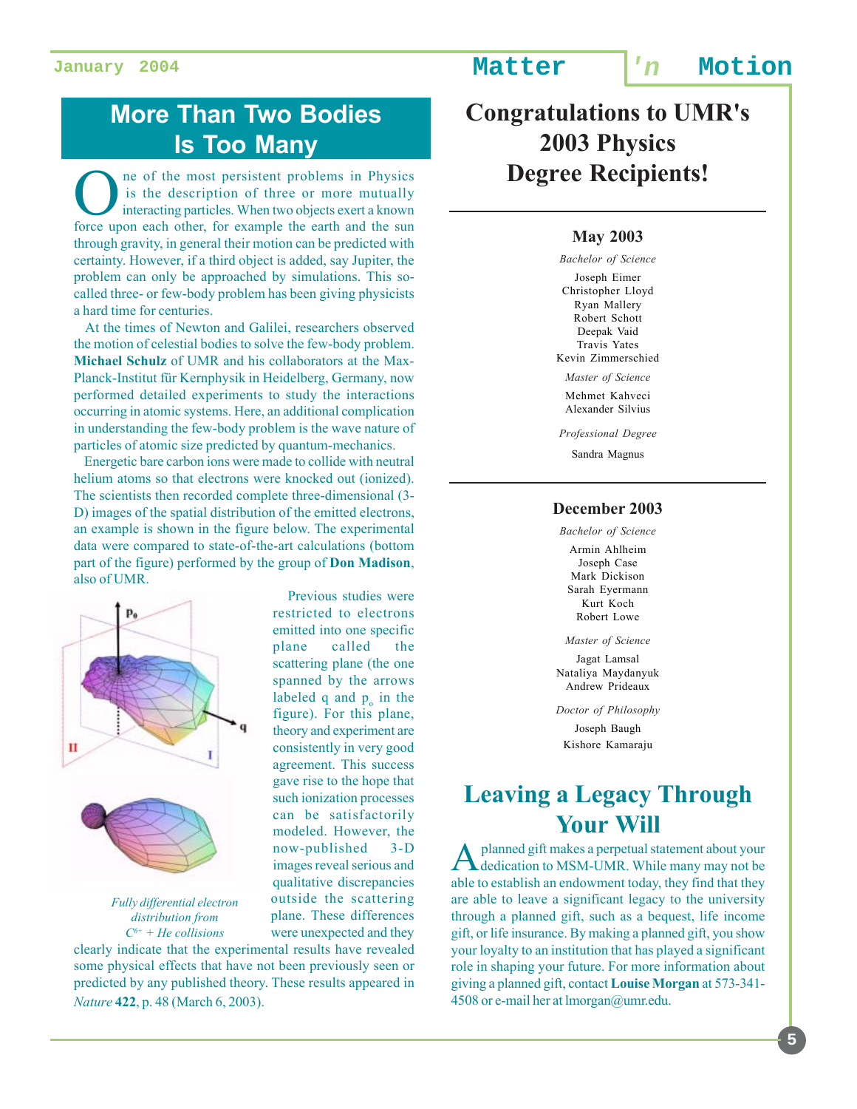## **More Than Two Bodies Is Too Many**

ne of the most persistent problems in Physics is the description of three or more mutually interacting particles. When two objects exert a known force upon each other, for example the earth and the sun through gravity, in general their motion can be predicted with certainty. However, if a third object is added, say Jupiter, the problem can only be approached by simulations. This socalled three- or few-body problem has been giving physicists a hard time for centuries.

 At the times of Newton and Galilei, researchers observed the motion of celestial bodies to solve the few-body problem. **Michael Schulz** of UMR and his collaborators at the Max-Planck-Institut für Kernphysik in Heidelberg, Germany, now performed detailed experiments to study the interactions occurring in atomic systems. Here, an additional complication in understanding the few-body problem is the wave nature of particles of atomic size predicted by quantum-mechanics.

 Energetic bare carbon ions were made to collide with neutral helium atoms so that electrons were knocked out (ionized). The scientists then recorded complete three-dimensional (3- D) images of the spatial distribution of the emitted electrons, an example is shown in the figure below. The experimental data were compared to state-of-the-art calculations (bottom part of the figure) performed by the group of **Don Madison**, also of UMR.



*Fully differential electron distribution from C6+ + He collisions*

 Previous studies were restricted to electrons emitted into one specific plane called the scattering plane (the one spanned by the arrows labeled  $q$  and  $p_o$  in the figure). For this plane, theory and experiment are consistently in very good agreement. This success gave rise to the hope that such ionization processes can be satisfactorily modeled. However, the now-published 3-D images reveal serious and qualitative discrepancies outside the scattering plane. These differences were unexpected and they

clearly indicate that the experimental results have revealed some physical effects that have not been previously seen or predicted by any published theory. These results appeared in *Nature* **422**, p. 48 (March 6, 2003).

**Congratulations to UMR's 2003 Physics Degree Recipients!**

#### **May 2003**

*Bachelor of Science* Joseph Eimer Christopher Lloyd Ryan Mallery Robert Schott Deepak Vaid Travis Yates Kevin Zimmerschied *Master of Science*

Mehmet Kahveci Alexander Silvius

*Professional Degree* Sandra Magnus

#### **December 2003**

*Bachelor of Science*

Armin Ahlheim Joseph Case Mark Dickison Sarah Eyermann Kurt Koch Robert Lowe

*Master of Science* Jagat Lamsal Nataliya Maydanyuk Andrew Prideaux

*Doctor of Philosophy*

Joseph Baugh Kishore Kamaraju

### **Leaving a Legacy Through Your Will**

planned gift makes a perpetual statement about your dedication to MSM-UMR. While many may not be able to establish an endowment today, they find that they are able to leave a significant legacy to the university through a planned gift, such as a bequest, life income gift, or life insurance. By making a planned gift, you show your loyalty to an institution that has played a significant role in shaping your future. For more information about giving a planned gift, contact **Louise Morgan** at 573-341- 4508 or e-mail her at lmorgan@umr.edu.

**5**

**January 2004 Matter 'n Motion**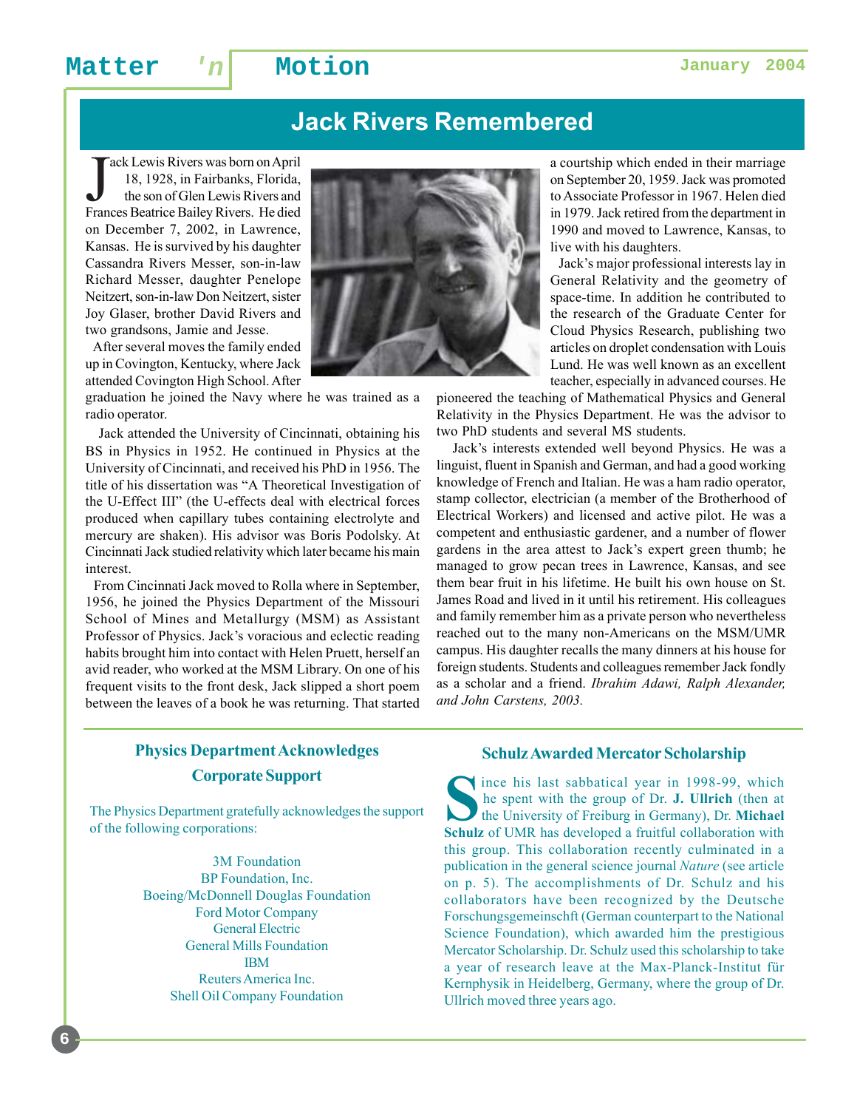## **Jack Rivers Remembered**

Jack Lewis Rivers was born on April<br>18, 1928, in Fairbanks, Florida,<br>the son of Glen Lewis Rivers and<br>Frances Beatrice Bailey Rivers. He died ack Lewis Rivers was born on April 18, 1928, in Fairbanks, Florida, the son of Glen Lewis Rivers and on December 7, 2002, in Lawrence, Kansas. He is survived by his daughter Cassandra Rivers Messer, son-in-law Richard Messer, daughter Penelope Neitzert, son-in-law Don Neitzert, sister Joy Glaser, brother David Rivers and two grandsons, Jamie and Jesse.

 After several moves the family ended up in Covington, Kentucky, where Jack attended Covington High School. After

graduation he joined the Navy where he was trained as a radio operator.

 Jack attended the University of Cincinnati, obtaining his BS in Physics in 1952. He continued in Physics at the University of Cincinnati, and received his PhD in 1956. The title of his dissertation was "A Theoretical Investigation of the U-Effect III" (the U-effects deal with electrical forces produced when capillary tubes containing electrolyte and mercury are shaken). His advisor was Boris Podolsky. At Cincinnati Jack studied relativity which later became his main interest.

 From Cincinnati Jack moved to Rolla where in September, 1956, he joined the Physics Department of the Missouri School of Mines and Metallurgy (MSM) as Assistant Professor of Physics. Jack's voracious and eclectic reading habits brought him into contact with Helen Pruett, herself an avid reader, who worked at the MSM Library. On one of his frequent visits to the front desk, Jack slipped a short poem between the leaves of a book he was returning. That started



a courtship which ended in their marriage on September 20, 1959. Jack was promoted to Associate Professor in 1967. Helen died in 1979. Jack retired from the department in 1990 and moved to Lawrence, Kansas, to live with his daughters.

 Jack's major professional interests lay in General Relativity and the geometry of space-time. In addition he contributed to the research of the Graduate Center for Cloud Physics Research, publishing two articles on droplet condensation with Louis Lund. He was well known as an excellent teacher, especially in advanced courses. He

pioneered the teaching of Mathematical Physics and General Relativity in the Physics Department. He was the advisor to two PhD students and several MS students.

 Jack's interests extended well beyond Physics. He was a linguist, fluent in Spanish and German, and had a good working knowledge of French and Italian. He was a ham radio operator, stamp collector, electrician (a member of the Brotherhood of Electrical Workers) and licensed and active pilot. He was a competent and enthusiastic gardener, and a number of flower gardens in the area attest to Jack's expert green thumb; he managed to grow pecan trees in Lawrence, Kansas, and see them bear fruit in his lifetime. He built his own house on St. James Road and lived in it until his retirement. His colleagues and family remember him as a private person who nevertheless reached out to the many non-Americans on the MSM/UMR campus. His daughter recalls the many dinners at his house for foreign students. Students and colleagues remember Jack fondly as a scholar and a friend. *Ibrahim Adawi, Ralph Alexander, and John Carstens, 2003.*

#### **Physics Department Acknowledges Corporate Support**

The Physics Department gratefully acknowledges the support of the following corporations:

> 3M Foundation BP Foundation, Inc. Boeing/McDonnell Douglas Foundation Ford Motor Company General Electric General Mills Foundation IBM Reuters America Inc. Shell Oil Company Foundation

#### **Schulz Awarded Mercator Scholarship**

Since his last sabbatical year in 1998-99, which<br>
the spent with the group of Dr. **J. Ullrich** (then at<br>
the University of Freiburg in Germany), Dr. **Michael**<br>
Schulz of UMP has daveloped a fruitful collaboration with he spent with the group of Dr. **J. Ullrich** (then at **Schulz** of UMR has developed a fruitful collaboration with this group. This collaboration recently culminated in a publication in the general science journal *Nature* (see article on p. 5). The accomplishments of Dr. Schulz and his collaborators have been recognized by the Deutsche Forschungsgemeinschft (German counterpart to the National Science Foundation), which awarded him the prestigious Mercator Scholarship. Dr. Schulz used this scholarship to take a year of research leave at the Max-Planck-Institut für Kernphysik in Heidelberg, Germany, where the group of Dr. Ullrich moved three years ago.

**6**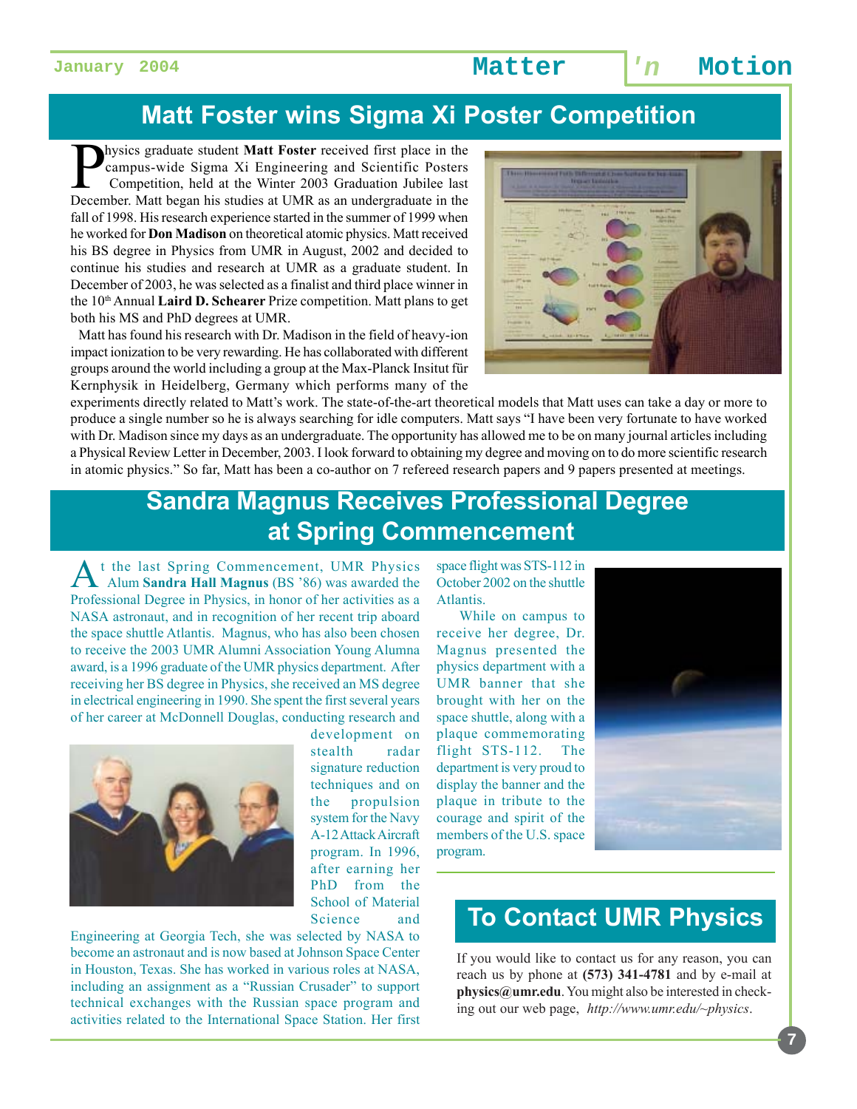## **Matt Foster wins Sigma Xi Poster Competition**

hysics graduate student **Matt Foster** received first place in the campus-wide Sigma Xi Engineering and Scientific Posters Competition, held at the Winter 2003 Graduation Jubilee last December. Matt began his studies at UMR as an undergraduate in the fall of 1998. His research experience started in the summer of 1999 when he worked for **Don Madison** on theoretical atomic physics. Matt received his BS degree in Physics from UMR in August, 2002 and decided to continue his studies and research at UMR as a graduate student. In December of 2003, he was selected as a finalist and third place winner in the 10<sup>th</sup> Annual **Laird D. Schearer** Prize competition. Matt plans to get both his MS and PhD degrees at UMR.

 Matt has found his research with Dr. Madison in the field of heavy-ion impact ionization to be very rewarding. He has collaborated with different groups around the world including a group at the Max-Planck Insitut für Kernphysik in Heidelberg, Germany which performs many of the



experiments directly related to Matt's work. The state-of-the-art theoretical models that Matt uses can take a day or more to produce a single number so he is always searching for idle computers. Matt says "I have been very fortunate to have worked with Dr. Madison since my days as an undergraduate. The opportunity has allowed me to be on many journal articles including a Physical Review Letter in December, 2003. I look forward to obtaining my degree and moving on to do more scientific research in atomic physics." So far, Matt has been a co-author on 7 refereed research papers and 9 papers presented at meetings.

## **Sandra Magnus Receives Professional Degree at Spring Commencement**

t the last Spring Commencement, UMR Physics Alum **Sandra Hall Magnus** (BS '86) was awarded the Professional Degree in Physics, in honor of her activities as a NASA astronaut, and in recognition of her recent trip aboard the space shuttle Atlantis. Magnus, who has also been chosen to receive the 2003 UMR Alumni Association Young Alumna award, is a 1996 graduate of the UMR physics department. After receiving her BS degree in Physics, she received an MS degree in electrical engineering in 1990. She spent the first several years of her career at McDonnell Douglas, conducting research and



development on stealth radar signature reduction techniques and on the propulsion system for the Navy A-12 Attack Aircraft program. In 1996, after earning her PhD from the School of Material Science and

Engineering at Georgia Tech, she was selected by NASA to become an astronaut and is now based at Johnson Space Center in Houston, Texas. She has worked in various roles at NASA, including an assignment as a "Russian Crusader" to support technical exchanges with the Russian space program and activities related to the International Space Station. Her first space flight was STS-112 in October 2002 on the shuttle Atlantis.

 While on campus to receive her degree, Dr. Magnus presented the physics department with a UMR banner that she brought with her on the space shuttle, along with a plaque commemorating flight STS-112. The department is very proud to display the banner and the plaque in tribute to the courage and spirit of the members of the U.S. space program.



### **To Contact UMR Physics**

If you would like to contact us for any reason, you can reach us by phone at **(573) 341-4781** and by e-mail at **physics@umr.edu**. You might also be interested in checking out our web page, *http://www.umr.edu/~physics*.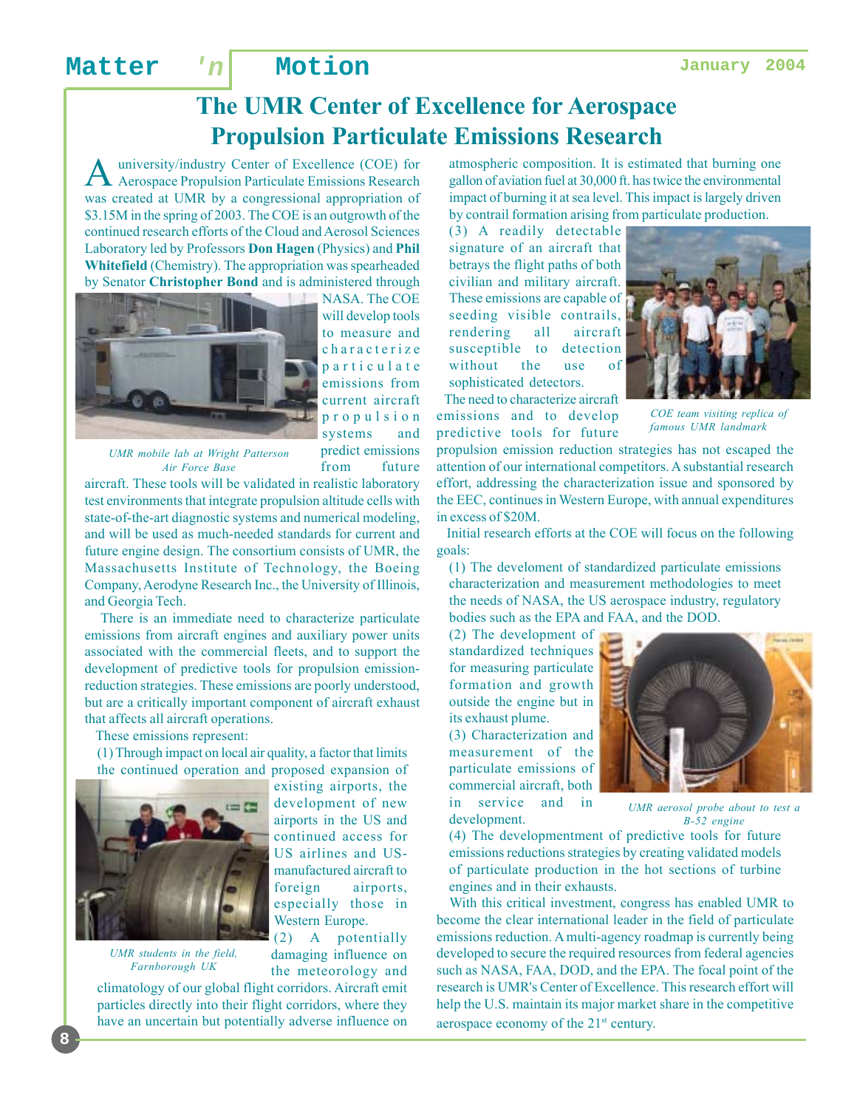## **The UMR Center of Excellence for Aerospace Propulsion Particulate Emissions Research**

university/industry Center of Excellence (COE) for Aerospace Propulsion Particulate Emissions Research was created at UMR by a congressional appropriation of \$3.15M in the spring of 2003. The COE is an outgrowth of the continued research efforts of the Cloud and Aerosol Sciences Laboratory led by Professors **Don Hagen** (Physics) and **Phil Whitefield** (Chemistry). The appropriation was spearheaded by Senator **Christopher Bond** and is administered through



will develop tools to measure and characterize particulate emissions from current aircraft propulsion systems and predict emissions from future

NASA. The COE

*UMR mobile lab at Wright Patterson Air Force Base*

aircraft. These tools will be validated in realistic laboratory test environments that integrate propulsion altitude cells with state-of-the-art diagnostic systems and numerical modeling, and will be used as much-needed standards for current and future engine design. The consortium consists of UMR, the Massachusetts Institute of Technology, the Boeing Company, Aerodyne Research Inc., the University of Illinois, and Georgia Tech.

 There is an immediate need to characterize particulate emissions from aircraft engines and auxiliary power units associated with the commercial fleets, and to support the development of predictive tools for propulsion emissionreduction strategies. These emissions are poorly understood, but are a critically important component of aircraft exhaust that affects all aircraft operations.

These emissions represent:

(1) Through impact on local air quality, a factor that limits the continued operation and proposed expansion of



*UMR students in the field, Farnborough UK*

existing airports, the development of new airports in the US and continued access for US airlines and USmanufactured aircraft to foreign airports, especially those in Western Europe.

(2) A potentially damaging influence on the meteorology and

climatology of our global flight corridors. Aircraft emit particles directly into their flight corridors, where they have an uncertain but potentially adverse influence on

atmospheric composition. It is estimated that burning one gallon of aviation fuel at 30,000 ft. has twice the environmental impact of burning it at sea level. This impact is largely driven by contrail formation arising from particulate production.

(3) A readily detectable signature of an aircraft that betrays the flight paths of both civilian and military aircraft. These emissions are capable of seeding visible contrails, rendering all aircraft susceptible to detection without the use of sophisticated detectors.

 The need to characterize aircraft emissions and to develop predictive tools for future



 *COE team visiting replica of famous UMR landmark*

propulsion emission reduction strategies has not escaped the attention of our international competitors. A substantial research effort, addressing the characterization issue and sponsored by the EEC, continues in Western Europe, with annual expenditures in excess of \$20M.

 Initial research efforts at the COE will focus on the following goals:

(1) The develoment of standardized particulate emissions characterization and measurement methodologies to meet the needs of NASA, the US aerospace industry, regulatory bodies such as the EPA and FAA, and the DOD.

(2) The development of standardized techniques for measuring particulate formation and growth outside the engine but in its exhaust plume.

(3) Characterization and measurement of the particulate emissions of commercial aircraft, both in service and in development.



*UMR aerosol probe about to test a B-52 engine*

(4) The developmentment of predictive tools for future emissions reductions strategies by creating validated models of particulate production in the hot sections of turbine engines and in their exhausts.

 With this critical investment, congress has enabled UMR to become the clear international leader in the field of particulate emissions reduction. A multi-agency roadmap is currently being developed to secure the required resources from federal agencies such as NASA, FAA, DOD, and the EPA. The focal point of the research is UMR's Center of Excellence. This research effort will help the U.S. maintain its major market share in the competitive aerospace economy of the 21<sup>st</sup> century.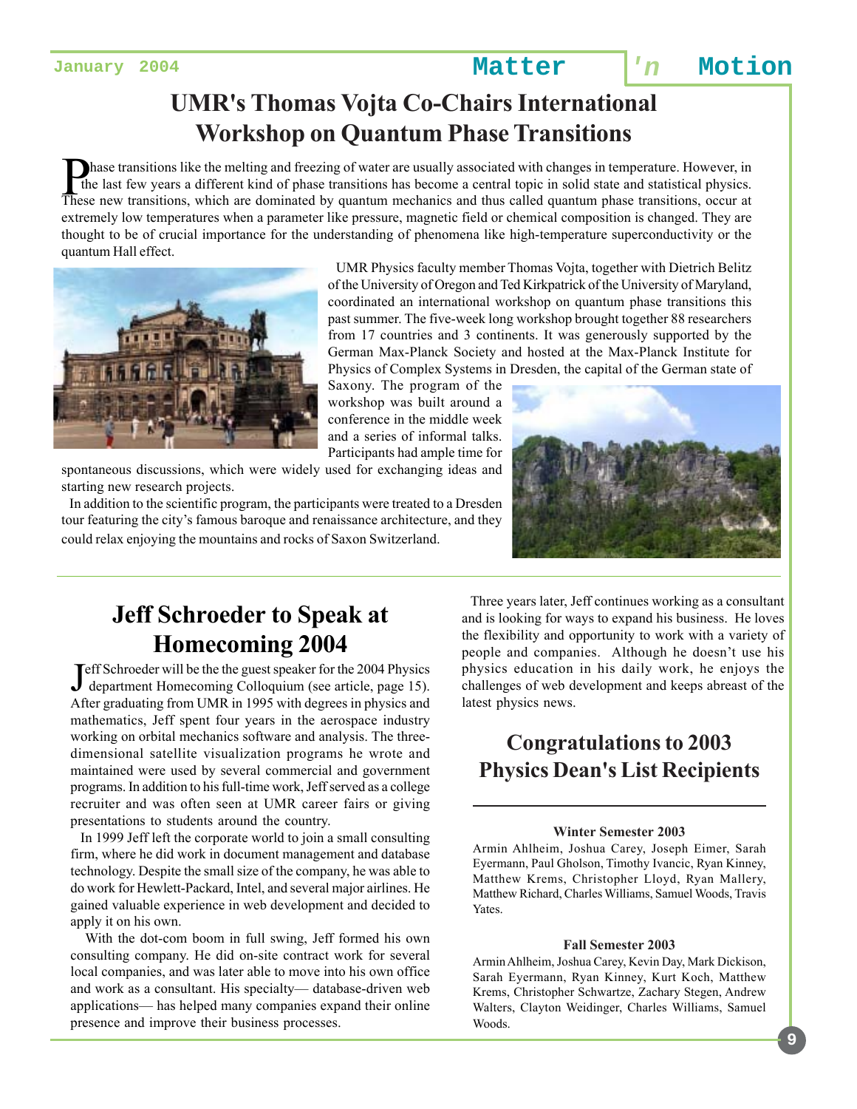## **UMR's Thomas Vojta Co-Chairs International Workshop on Quantum Phase Transitions**

Thase transitions like the melting and freezing of water are usually associated with changes in temperature. However, in the last few years a different kind of phase transitions has become a central topic in solid state an the last few years a different kind of phase transitions has become a central topic in solid state and statistical physics. These new transitions, which are dominated by quantum mechanics and thus called quantum phase transitions, occur at extremely low temperatures when a parameter like pressure, magnetic field or chemical composition is changed. They are thought to be of crucial importance for the understanding of phenomena like high-temperature superconductivity or the quantum Hall effect.



 UMR Physics faculty member Thomas Vojta, together with Dietrich Belitz of the University of Oregon and Ted Kirkpatrick of the University of Maryland, coordinated an international workshop on quantum phase transitions this past summer. The five-week long workshop brought together 88 researchers from 17 countries and 3 continents. It was generously supported by the German Max-Planck Society and hosted at the Max-Planck Institute for Physics of Complex Systems in Dresden, the capital of the German state of

Saxony. The program of the workshop was built around a conference in the middle week and a series of informal talks. Participants had ample time for

spontaneous discussions, which were widely used for exchanging ideas and starting new research projects.

 In addition to the scientific program, the participants were treated to a Dresden tour featuring the city's famous baroque and renaissance architecture, and they could relax enjoying the mountains and rocks of Saxon Switzerland.



## **Jeff Schroeder to Speak at Homecoming 2004**

Jeff Schroeder will be the the guest speaker for the 2004 Physics<br>department Homecoming Colloquium (see article, page 15). department Homecoming Colloquium (see article, page 15). After graduating from UMR in 1995 with degrees in physics and mathematics, Jeff spent four years in the aerospace industry working on orbital mechanics software and analysis. The threedimensional satellite visualization programs he wrote and maintained were used by several commercial and government programs. In addition to his full-time work, Jeff served as a college recruiter and was often seen at UMR career fairs or giving presentations to students around the country.

 In 1999 Jeff left the corporate world to join a small consulting firm, where he did work in document management and database technology. Despite the small size of the company, he was able to do work for Hewlett-Packard, Intel, and several major airlines. He gained valuable experience in web development and decided to apply it on his own.

 With the dot-com boom in full swing, Jeff formed his own consulting company. He did on-site contract work for several local companies, and was later able to move into his own office and work as a consultant. His specialty— database-driven web applications— has helped many companies expand their online presence and improve their business processes.

 Three years later, Jeff continues working as a consultant and is looking for ways to expand his business. He loves the flexibility and opportunity to work with a variety of people and companies. Although he doesn't use his physics education in his daily work, he enjoys the challenges of web development and keeps abreast of the latest physics news.

### **Congratulations to 2003 Physics Dean's List Recipients**

#### **Winter Semester 2003**

Armin Ahlheim, Joshua Carey, Joseph Eimer, Sarah Eyermann, Paul Gholson, Timothy Ivancic, Ryan Kinney, Matthew Krems, Christopher Lloyd, Ryan Mallery, Matthew Richard, Charles Williams, Samuel Woods, Travis Yates.

#### **Fall Semester 2003**

Armin Ahlheim, Joshua Carey, Kevin Day, Mark Dickison, Sarah Eyermann, Ryan Kinney, Kurt Koch, Matthew Krems, Christopher Schwartze, Zachary Stegen, Andrew Walters, Clayton Weidinger, Charles Williams, Samuel Woods.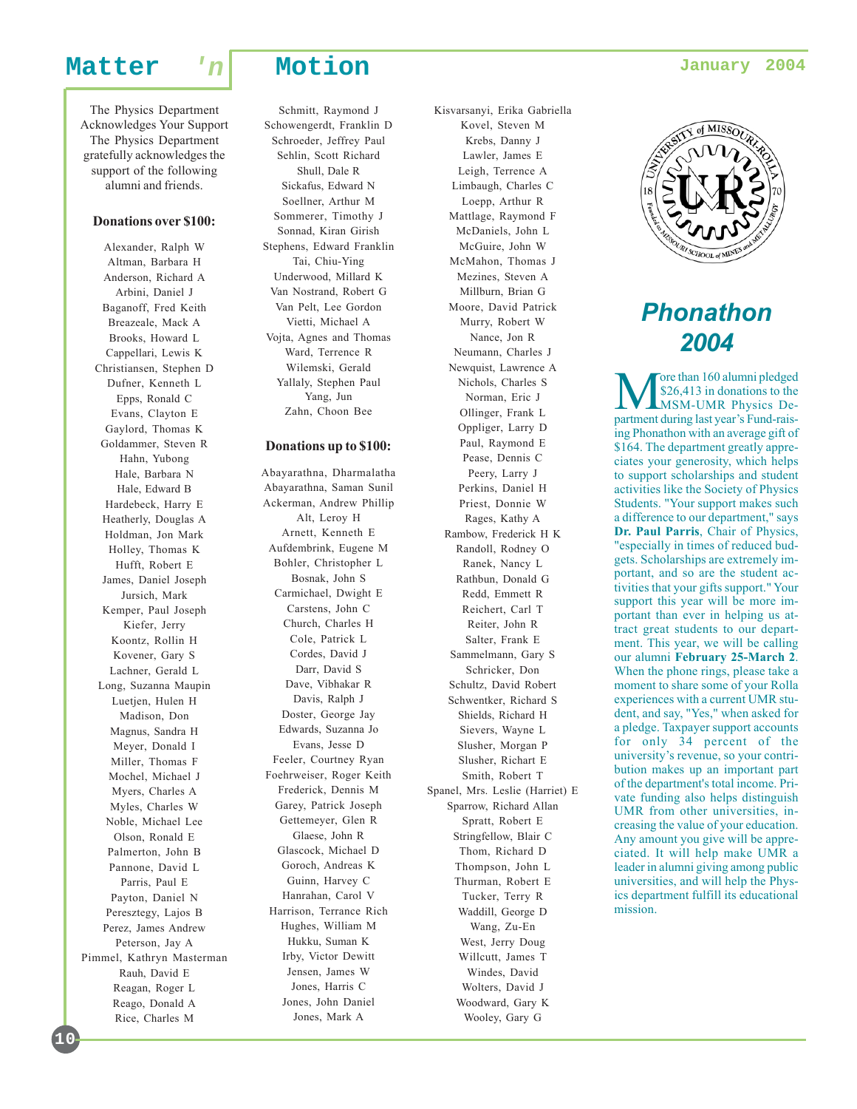The Physics Department Acknowledges Your Support The Physics Department gratefully acknowledges the support of the following alumni and friends.

#### **Donations over \$100:**

Alexander, Ralph W Altman, Barbara H Anderson, Richard A Arbini, Daniel J Baganoff, Fred Keith Breazeale, Mack A Brooks, Howard L Cappellari, Lewis K Christiansen, Stephen D Dufner, Kenneth L Epps, Ronald C Evans, Clayton E Gaylord, Thomas K Goldammer, Steven R Hahn, Yubong Hale, Barbara N Hale, Edward B Hardebeck, Harry E Heatherly, Douglas A Holdman, Jon Mark Holley, Thomas K Hufft, Robert E James, Daniel Joseph Jursich, Mark Kemper, Paul Joseph Kiefer, Jerry Koontz, Rollin H Kovener, Gary S Lachner, Gerald L Long, Suzanna Maupin Luetjen, Hulen H Madison, Don Magnus, Sandra H Meyer, Donald I Miller, Thomas F Mochel, Michael J Myers, Charles A Myles, Charles W Noble, Michael Lee Olson, Ronald E Palmerton, John B Pannone, David L Parris, Paul E Payton, Daniel N Peresztegy, Lajos B Perez, James Andrew Peterson, Jay A Pimmel, Kathryn Masterman Rauh, David E Reagan, Roger L Reago, Donald A Rice, Charles M

**10**

Schmitt, Raymond J Schowengerdt, Franklin D Schroeder, Jeffrey Paul Sehlin, Scott Richard Shull, Dale R Sickafus, Edward N Soellner, Arthur M Sommerer, Timothy J Sonnad, Kiran Girish Stephens, Edward Franklin Tai, Chiu-Ying Underwood, Millard K Van Nostrand, Robert G Van Pelt, Lee Gordon Vietti, Michael A Vojta, Agnes and Thomas Ward, Terrence R Wilemski, Gerald Yallaly, Stephen Paul Yang, Jun Zahn, Choon Bee

#### **Donations up to \$100:**

Abayarathna, Dharmalatha Abayarathna, Saman Sunil Ackerman, Andrew Phillip Alt, Leroy H Arnett, Kenneth E Aufdembrink, Eugene M Bohler, Christopher L Bosnak, John S Carmichael, Dwight E Carstens, John C Church, Charles H Cole, Patrick L Cordes, David J Darr, David S Dave, Vibhakar R Davis, Ralph J Doster, George Jay Edwards, Suzanna Jo Evans, Jesse D Feeler, Courtney Ryan Foehrweiser, Roger Keith Frederick, Dennis M Garey, Patrick Joseph Gettemeyer, Glen R Glaese, John R Glascock, Michael D Goroch, Andreas K Guinn, Harvey C Hanrahan, Carol V Harrison, Terrance Rich Hughes, William M Hukku, Suman K Irby, Victor Dewitt Jensen, James W Jones, Harris C Jones, John Daniel Jones, Mark A

Kovel, Steven M Krebs, Danny J Lawler, James E Leigh, Terrence A Limbaugh, Charles C Loepp, Arthur R Mattlage, Raymond F McDaniels, John L McGuire, John W McMahon, Thomas J Mezines, Steven A Millburn, Brian G Moore, David Patrick Murry, Robert W Nance, Jon R Neumann, Charles J Newquist, Lawrence A Nichols, Charles S Norman, Eric J Ollinger, Frank L Oppliger, Larry D Paul, Raymond E Pease, Dennis C Peery, Larry J Perkins, Daniel H Priest, Donnie W Rages, Kathy A Rambow, Frederick H K Randoll, Rodney O Ranek, Nancy L Rathbun, Donald G Redd, Emmett R Reichert, Carl T Reiter, John R Salter, Frank E Sammelmann, Gary S Schricker, Don Schultz, David Robert Schwentker, Richard S Shields, Richard H Sievers, Wayne L Slusher, Morgan P Slusher, Richart E Smith, Robert T Spanel, Mrs. Leslie (Harriet) E Sparrow, Richard Allan Spratt, Robert E Stringfellow, Blair C Thom, Richard D Thompson, John L Thurman, Robert E Tucker, Terry R Waddill, George D Wang, Zu-En West, Jerry Doug Willcutt, James T Windes, David Wolters, David J Woodward, Gary K Wooley, Gary G

Kisvarsanyi, Erika Gabriella



## *Phonathon 2004*

More than 160 alumni pledged<br>
\$26,413 in donations to the<br>
MSM-UMR Physics Department during last year's Eugl rais \$26,413 in donations to the MSM-UMR Physics Department during last year's Fund-raising Phonathon with an average gift of \$164. The department greatly appreciates your generosity, which helps to support scholarships and student activities like the Society of Physics Students. "Your support makes such a difference to our department," says **Dr. Paul Parris**, Chair of Physics, "especially in times of reduced budgets. Scholarships are extremely important, and so are the student activities that your gifts support." Your support this year will be more important than ever in helping us attract great students to our department. This year, we will be calling our alumni **February 25-March 2**. When the phone rings, please take a moment to share some of your Rolla experiences with a current UMR student, and say, "Yes," when asked for a pledge. Taxpayer support accounts for only 34 percent of the university's revenue, so your contribution makes up an important part of the department's total income. Private funding also helps distinguish UMR from other universities, increasing the value of your education. Any amount you give will be appreciated. It will help make UMR a leader in alumni giving among public universities, and will help the Physics department fulfill its educational mission.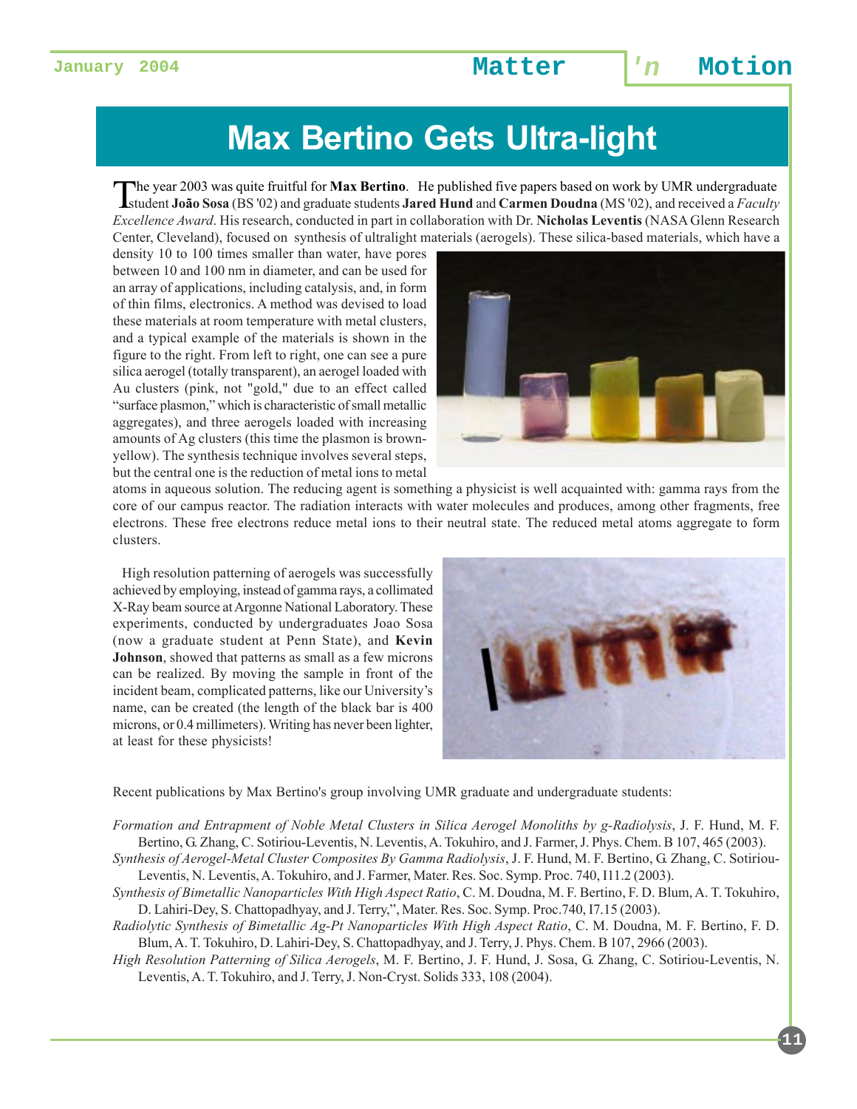# **Max Bertino Gets Ultra-light**

The year 2003 was quite fruitful for Max Bertino. He published five papers based on work by UMR undergraduate<br>student João Sosa (BS '02) and graduate students Jared Hund and Carmen Doudna (MS '02), and received a Faculty *Excellence Award*. His research, conducted in part in collaboration with Dr. **Nicholas Leventis** (NASA Glenn Research Center, Cleveland), focused on synthesis of ultralight materials (aerogels). These silica-based materials, which have a

density 10 to 100 times smaller than water, have pores between 10 and 100 nm in diameter, and can be used for an array of applications, including catalysis, and, in form of thin films, electronics. A method was devised to load these materials at room temperature with metal clusters, and a typical example of the materials is shown in the figure to the right. From left to right, one can see a pure silica aerogel (totally transparent), an aerogel loaded with Au clusters (pink, not "gold," due to an effect called "surface plasmon," which is characteristic of small metallic aggregates), and three aerogels loaded with increasing amounts of Ag clusters (this time the plasmon is brownyellow). The synthesis technique involves several steps, but the central one is the reduction of metal ions to metal



atoms in aqueous solution. The reducing agent is something a physicist is well acquainted with: gamma rays from the core of our campus reactor. The radiation interacts with water molecules and produces, among other fragments, free electrons. These free electrons reduce metal ions to their neutral state. The reduced metal atoms aggregate to form clusters.

 High resolution patterning of aerogels was successfully achieved by employing, instead of gamma rays, a collimated X-Ray beam source at Argonne National Laboratory. These experiments, conducted by undergraduates Joao Sosa (now a graduate student at Penn State), and **Kevin Johnson**, showed that patterns as small as a few microns can be realized. By moving the sample in front of the incident beam, complicated patterns, like our University's name, can be created (the length of the black bar is 400 microns, or 0.4 millimeters). Writing has never been lighter, at least for these physicists!



Recent publications by Max Bertino's group involving UMR graduate and undergraduate students:

*Formation and Entrapment of Noble Metal Clusters in Silica Aerogel Monoliths by g-Radiolysis*, J. F. Hund, M. F. Bertino, G. Zhang, C. Sotiriou-Leventis, N. Leventis, A. Tokuhiro, and J. Farmer, J. Phys. Chem. B 107, 465 (2003).

- *Synthesis of Aerogel-Metal Cluster Composites By Gamma Radiolysis*, J. F. Hund, M. F. Bertino, G. Zhang, C. Sotiriou-Leventis, N. Leventis, A. Tokuhiro, and J. Farmer, Mater. Res. Soc. Symp. Proc. 740, I11.2 (2003).
- *Synthesis of Bimetallic Nanoparticles With High Aspect Ratio*, C. M. Doudna, M. F. Bertino, F. D. Blum, A. T. Tokuhiro, D. Lahiri-Dey, S. Chattopadhyay, and J. Terry,", Mater. Res. Soc. Symp. Proc.740, I7.15 (2003).
- *Radiolytic Synthesis of Bimetallic Ag-Pt Nanoparticles With High Aspect Ratio*, C. M. Doudna, M. F. Bertino, F. D. Blum, A. T. Tokuhiro, D. Lahiri-Dey, S. Chattopadhyay, and J. Terry, J. Phys. Chem. B 107, 2966 (2003).
- *High Resolution Patterning of Silica Aerogels*, M. F. Bertino, J. F. Hund, J. Sosa, G. Zhang, C. Sotiriou-Leventis, N. Leventis, A. T. Tokuhiro, and J. Terry, J. Non-Cryst. Solids 333, 108 (2004).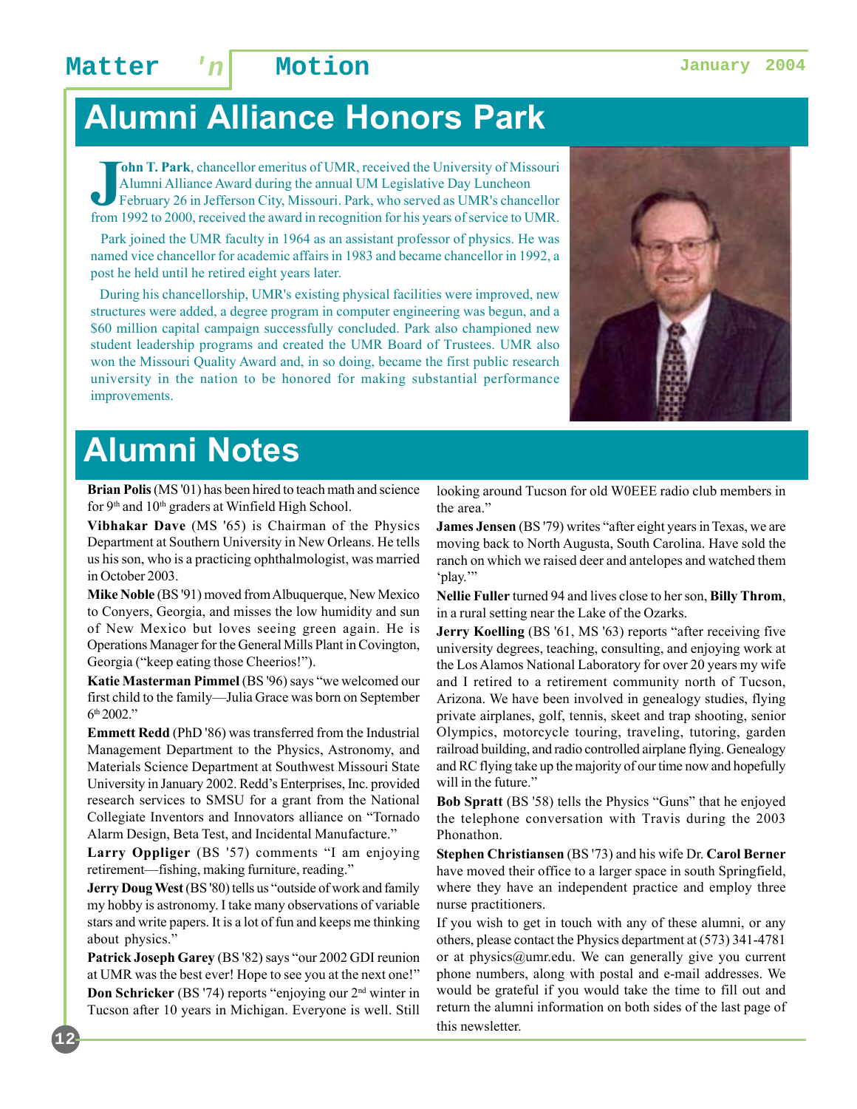# **Alumni Alliance Honors Park**

**John T. Park**, chancellor emeritus of UMR, received the University of Missouri Alumni Alliance Award during the annual UM Legislative Day Luncheon February 26 in Jefferson City, Missouri. Park, who served as UMR's chancel **ohn T. Park**, chancellor emeritus of UMR, received the University of Missouri Alumni Alliance Award during the annual UM Legislative Day Luncheon February 26 in Jefferson City, Missouri. Park, who served as UMR's chancellor

 Park joined the UMR faculty in 1964 as an assistant professor of physics. He was named vice chancellor for academic affairs in 1983 and became chancellor in 1992, a post he held until he retired eight years later.

 During his chancellorship, UMR's existing physical facilities were improved, new structures were added, a degree program in computer engineering was begun, and a \$60 million capital campaign successfully concluded. Park also championed new student leadership programs and created the UMR Board of Trustees. UMR also won the Missouri Quality Award and, in so doing, became the first public research university in the nation to be honored for making substantial performance improvements.



# **Alumni Notes**

**Brian Polis** (MS '01) has been hired to teach math and science for 9<sup>th</sup> and 10<sup>th</sup> graders at Winfield High School.

**Vibhakar Dave** (MS '65) is Chairman of the Physics Department at Southern University in New Orleans. He tells us his son, who is a practicing ophthalmologist, was married in October 2003.

**Mike Noble** (BS '91) moved from Albuquerque, New Mexico to Conyers, Georgia, and misses the low humidity and sun of New Mexico but loves seeing green again. He is Operations Manager for the General Mills Plant in Covington, Georgia ("keep eating those Cheerios!").

**Katie Masterman Pimmel** (BS '96) says "we welcomed our first child to the family—Julia Grace was born on September 6th 2002."

**Emmett Redd** (PhD '86) was transferred from the Industrial Management Department to the Physics, Astronomy, and Materials Science Department at Southwest Missouri State University in January 2002. Redd's Enterprises, Inc. provided research services to SMSU for a grant from the National Collegiate Inventors and Innovators alliance on "Tornado Alarm Design, Beta Test, and Incidental Manufacture."

**Larry Oppliger** (BS '57) comments "I am enjoying retirement—fishing, making furniture, reading."

**Jerry Doug West** (BS '80) tells us "outside of work and family my hobby is astronomy. I take many observations of variable stars and write papers. It is a lot of fun and keeps me thinking about physics."

**Patrick Joseph Garey** (BS '82) says "our 2002 GDI reunion at UMR was the best ever! Hope to see you at the next one!"

**Don Schricker** (BS '74) reports "enjoying our 2<sup>nd</sup> winter in Tucson after 10 years in Michigan. Everyone is well. Still looking around Tucson for old W0EEE radio club members in the area."

**James Jensen** (BS '79) writes "after eight years in Texas, we are moving back to North Augusta, South Carolina. Have sold the ranch on which we raised deer and antelopes and watched them 'play.'"

**Nellie Fuller** turned 94 and lives close to her son, **Billy Throm**, in a rural setting near the Lake of the Ozarks.

**Jerry Koelling** (BS '61, MS '63) reports "after receiving five university degrees, teaching, consulting, and enjoying work at the Los Alamos National Laboratory for over 20 years my wife and I retired to a retirement community north of Tucson, Arizona. We have been involved in genealogy studies, flying private airplanes, golf, tennis, skeet and trap shooting, senior Olympics, motorcycle touring, traveling, tutoring, garden railroad building, and radio controlled airplane flying. Genealogy and RC flying take up the majority of our time now and hopefully will in the future."

**Bob Spratt** (BS '58) tells the Physics "Guns" that he enjoyed the telephone conversation with Travis during the 2003 Phonathon.

**Stephen Christiansen** (BS '73) and his wife Dr. **Carol Berner** have moved their office to a larger space in south Springfield, where they have an independent practice and employ three nurse practitioners.

If you wish to get in touch with any of these alumni, or any others, please contact the Physics department at (573) 341-4781 or at physics@umr.edu. We can generally give you current phone numbers, along with postal and e-mail addresses. We would be grateful if you would take the time to fill out and return the alumni information on both sides of the last page of this newsletter.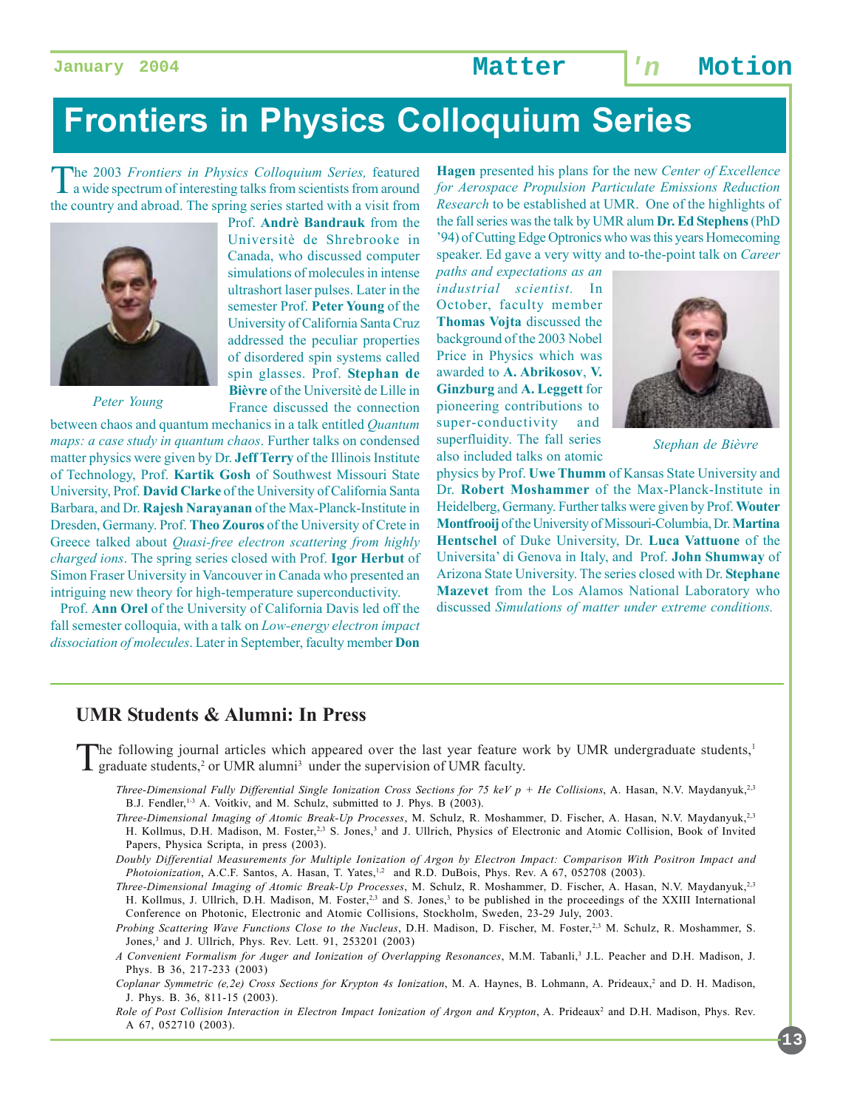# **Frontiers in Physics Colloquium Series**

The 2003 *Frontiers in Physics Colloquium Series,* featured a wide spectrum of interesting talks from scientists from around the country and abroad. The spring series started with a visit from



*Peter Young*

Prof. **Andrè Bandrauk** from the Universitè de Shrebrooke in Canada, who discussed computer simulations of molecules in intense ultrashort laser pulses. Later in the semester Prof. **Peter Young** of the University of California Santa Cruz addressed the peculiar properties of disordered spin systems called spin glasses. Prof. **Stephan de Bièvre** of the Universitè de Lille in France discussed the connection

between chaos and quantum mechanics in a talk entitled *Quantum maps: a case study in quantum chaos*. Further talks on condensed matter physics were given by Dr. **Jeff Terry** of the Illinois Institute of Technology, Prof. **Kartik Gosh** of Southwest Missouri State University, Prof. **David Clarke** of the University of California Santa Barbara, and Dr. **Rajesh Narayanan** of the Max-Planck-Institute in Dresden, Germany. Prof. **Theo Zouros** of the University of Crete in Greece talked about *Quasi-free electron scattering from highly charged ions*. The spring series closed with Prof. **Igor Herbut** of Simon Fraser University in Vancouver in Canada who presented an intriguing new theory for high-temperature superconductivity.

 Prof. **Ann Orel** of the University of California Davis led off the fall semester colloquia, with a talk on *Low-energy electron impact dissociation of molecules*. Later in September, faculty member **Don**

**Hagen** presented his plans for the new *Center of Excellence for Aerospace Propulsion Particulate Emissions Reduction Research* to be established at UMR. One of the highlights of the fall series was the talk by UMR alum **Dr. Ed Stephens** (PhD '94) of Cutting Edge Optronics who was this years Homecoming speaker. Ed gave a very witty and to-the-point talk on *Career*

*paths and expectations as an industrial scientist.* In October, faculty member **Thomas Vojta** discussed the background of the 2003 Nobel Price in Physics which was awarded to **A. Abrikosov**, **V. Ginzburg** and **A. Leggett** for pioneering contributions to super-conductivity and superfluidity. The fall series also included talks on atomic



*Stephan de Bièvre*

physics by Prof. **Uwe Thumm** of Kansas State University and Dr. **Robert Moshammer** of the Max-Planck-Institute in Heidelberg, Germany. Further talks were given by Prof. **Wouter Montfrooij** of the University of Missouri-Columbia, Dr. **Martina Hentschel** of Duke University, Dr. **Luca Vattuone** of the Universita' di Genova in Italy, and Prof. **John Shumway** of Arizona State University. The series closed with Dr. **Stephane Mazevet** from the Los Alamos National Laboratory who discussed *Simulations of matter under extreme conditions.*

#### **UMR Students & Alumni: In Press**

The following journal articles which appeared over the last year feature work by UMR undergraduate students, $\frac{1}{2}$ graduate students,<sup>2</sup> or UMR alumni<sup>3</sup> under the supervision of UMR faculty.

- *Three-Dimensional Fully Differential Single Ionization Cross Sections for 75 keV p + He Collisions*, A. Hasan, N.V. Maydanyuk,<sup>2,3</sup> B.J. Fendler,<sup>1-3</sup> A. Voitkiv, and M. Schulz, submitted to J. Phys. B (2003).
- *Three-Dimensional Imaging of Atomic Break-Up Processes*, M. Schulz, R. Moshammer, D. Fischer, A. Hasan, N.V. Maydanyuk,2,3 H. Kollmus, D.H. Madison, M. Foster,<sup>2,3</sup> S. Jones,<sup>3</sup> and J. Ullrich, Physics of Electronic and Atomic Collision, Book of Invited Papers, Physica Scripta, in press (2003).
- *Doubly Differential Measurements for Multiple Ionization of Argon by Electron Impact: Comparison With Positron Impact and Photoionization*, A.C.F. Santos, A. Hasan, T. Yates, $1/2$  and R.D. DuBois, Phys. Rev. A 67, 052708 (2003).
- *Three-Dimensional Imaging of Atomic Break-Up Processes*, M. Schulz, R. Moshammer, D. Fischer, A. Hasan, N.V. Maydanyuk,2,3 H. Kollmus, J. Ullrich, D.H. Madison, M. Foster,<sup>2,3</sup> and S. Jones,<sup>3</sup> to be published in the proceedings of the XXIII International Conference on Photonic, Electronic and Atomic Collisions, Stockholm, Sweden, 23-29 July, 2003.

*Probing Scattering Wave Functions Close to the Nucleus*, D.H. Madison, D. Fischer, M. Foster,<sup>2,3</sup> M. Schulz, R. Moshammer, S. Jones,<sup>3</sup> and J. Ullrich, Phys. Rev. Lett. 91, 253201 (2003)

- *A Convenient Formalism for Auger and Ionization of Overlapping Resonances*, M.M. Tabanli,3 J.L. Peacher and D.H. Madison, J. Phys. B 36, 217-233 (2003)
- Coplanar Symmetric (e,2e) Cross Sections for Krypton 4s Ionization, M. A. Haynes, B. Lohmann, A. Prideaux,<sup>2</sup> and D. H. Madison, J. Phys. B. 36, 811-15 (2003).
- Role of Post Collision Interaction in Electron Impact Ionization of Argon and Krypton, A. Prideaux<sup>2</sup> and D.H. Madison, Phys. Rev. A 67, 052710 (2003).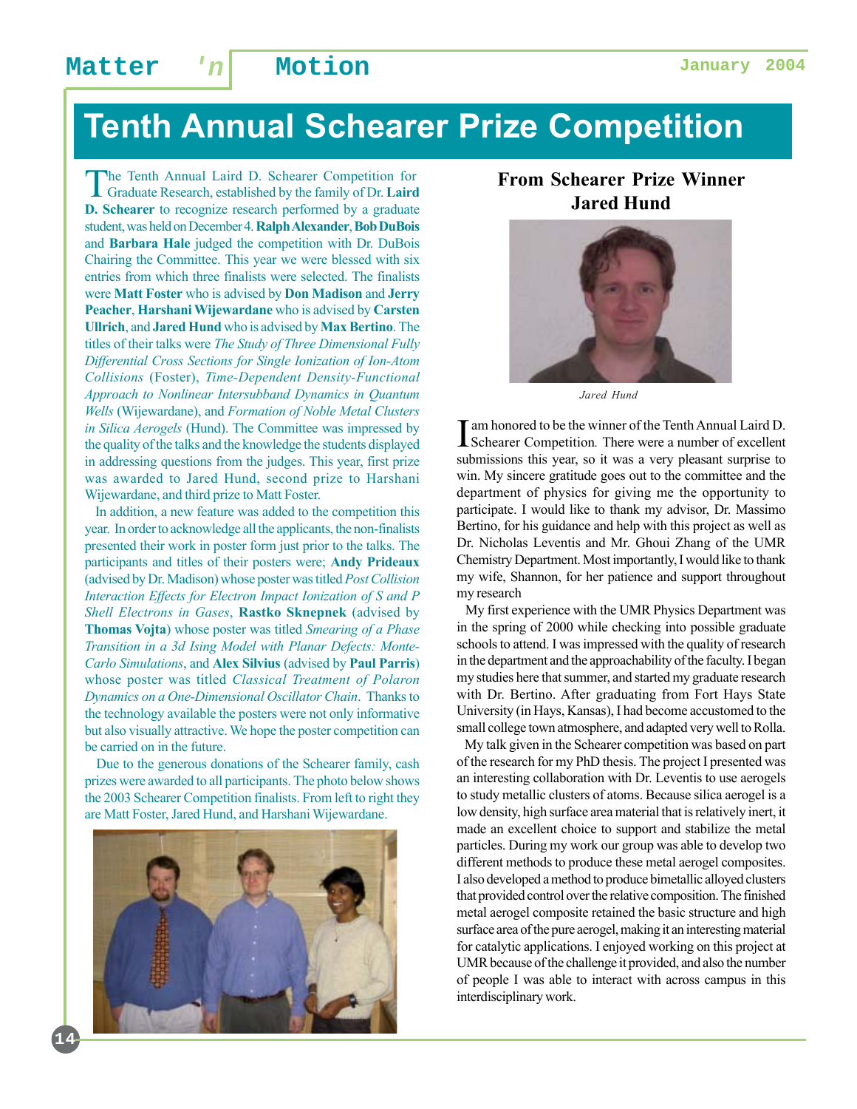# **Tenth Annual Schearer Prize Competition**

The Tenth Annual Laird D. Schearer Competition for Graduate Research, established by the family of Dr. **Laird D. Schearer** to recognize research performed by a graduate student, was held on December 4. **Ralph Alexander**, **Bob DuBois** and **Barbara Hale** judged the competition with Dr. DuBois Chairing the Committee. This year we were blessed with six entries from which three finalists were selected. The finalists were **Matt Foster** who is advised by **Don Madison** and **Jerry Peacher**, **Harshani Wijewardane** who is advised by **Carsten Ullrich**, and **Jared Hund** who is advised by **Max Bertino**. The titles of their talks were *The Study of Three Dimensional Fully Differential Cross Sections for Single Ionization of Ion-Atom Collisions* (Foster), *Time-Dependent Density-Functional Approach to Nonlinear Intersubband Dynamics in Quantum Wells* (Wijewardane), and *Formation of Noble Metal Clusters in Silica Aerogels* (Hund). The Committee was impressed by the quality of the talks and the knowledge the students displayed in addressing questions from the judges. This year, first prize was awarded to Jared Hund, second prize to Harshani Wijewardane, and third prize to Matt Foster.

 In addition, a new feature was added to the competition this year. In order to acknowledge all the applicants, the non-finalists presented their work in poster form just prior to the talks. The participants and titles of their posters were; **Andy Prideaux** (advised by Dr. Madison) whose poster was titled *Post Collision Interaction Effects for Electron Impact Ionization of S and P Shell Electrons in Gases*, **Rastko Sknepnek** (advised by **Thomas Vojta**) whose poster was titled *Smearing of a Phase Transition in a 3d Ising Model with Planar Defects: Monte-Carlo Simulations*, and **Alex Silvius** (advised by **Paul Parris**) whose poster was titled *Classical Treatment of Polaron Dynamics on a One-Dimensional Oscillator Chain*. Thanks to the technology available the posters were not only informative but also visually attractive. We hope the poster competition can be carried on in the future.

 Due to the generous donations of the Schearer family, cash prizes were awarded to all participants. The photo below shows the 2003 Schearer Competition finalists. From left to right they are Matt Foster, Jared Hund, and Harshani Wijewardane.



**14**

#### **From Schearer Prize Winner Jared Hund**



*Jared Hund*

I am honored to be the winner of the Tenth Annual Laird D.<br>Schearer Competition. There were a number of excellent Schearer Competition*.* There were a number of excellent submissions this year, so it was a very pleasant surprise to win. My sincere gratitude goes out to the committee and the department of physics for giving me the opportunity to participate. I would like to thank my advisor, Dr. Massimo Bertino, for his guidance and help with this project as well as Dr. Nicholas Leventis and Mr. Ghoui Zhang of the UMR Chemistry Department. Most importantly, I would like to thank my wife, Shannon, for her patience and support throughout my research

 My first experience with the UMR Physics Department was in the spring of 2000 while checking into possible graduate schools to attend. I was impressed with the quality of research in the department and the approachability of the faculty. I began my studies here that summer, and started my graduate research with Dr. Bertino. After graduating from Fort Hays State University (in Hays, Kansas), I had become accustomed to the small college town atmosphere, and adapted very well to Rolla.

 My talk given in the Schearer competition was based on part of the research for my PhD thesis. The project I presented was an interesting collaboration with Dr. Leventis to use aerogels to study metallic clusters of atoms. Because silica aerogel is a low density, high surface area material that is relatively inert, it made an excellent choice to support and stabilize the metal particles. During my work our group was able to develop two different methods to produce these metal aerogel composites. I also developed a method to produce bimetallic alloyed clusters that provided control over the relative composition. The finished metal aerogel composite retained the basic structure and high surface area of the pure aerogel, making it an interesting material for catalytic applications. I enjoyed working on this project at UMR because of the challenge it provided, and also the number of people I was able to interact with across campus in this interdisciplinary work.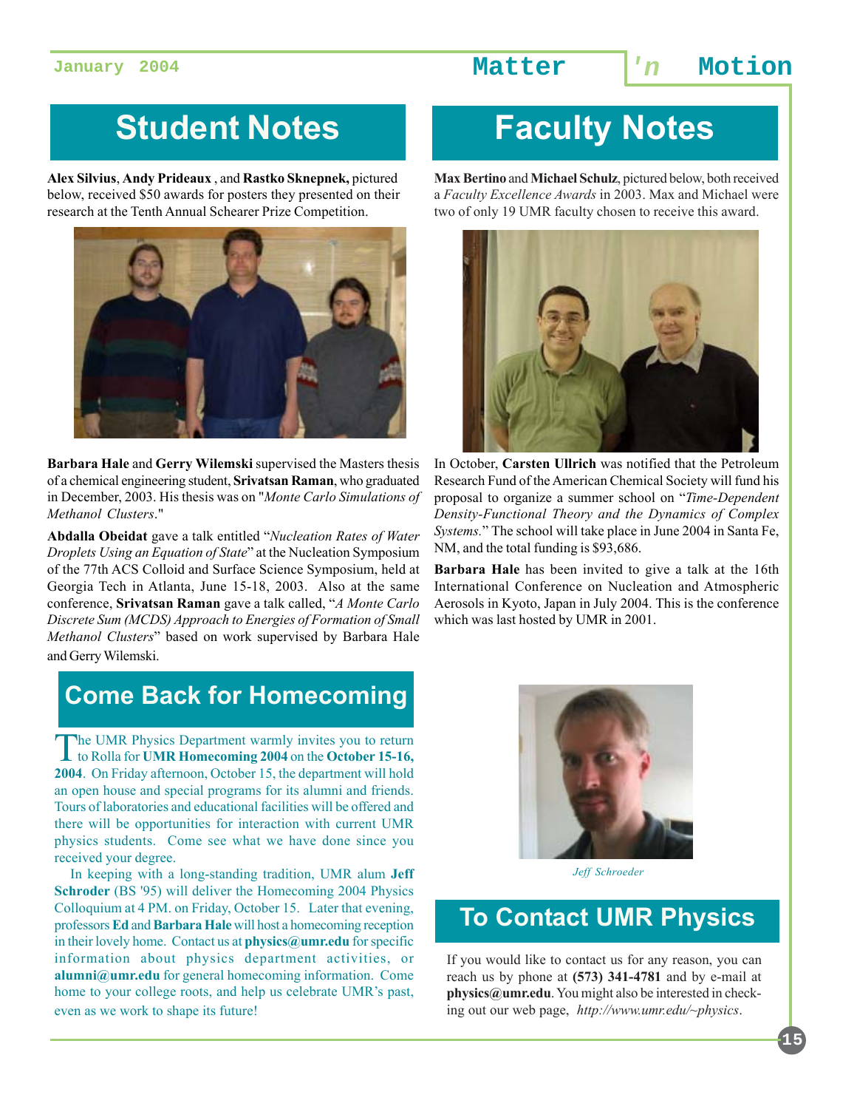# **Student Notes**

**Alex Silvius**, **Andy Prideaux** , and **Rastko Sknepnek,** pictured below, received \$50 awards for posters they presented on their research at the Tenth Annual Schearer Prize Competition.



**Barbara Hale** and **Gerry Wilemski** supervised the Masters thesis of a chemical engineering student, **Srivatsan Raman**, who graduated in December, 2003. His thesis was on "*Monte Carlo Simulations of Methanol Clusters*."

**Abdalla Obeidat** gave a talk entitled "*Nucleation Rates of Water Droplets Using an Equation of State*" at the Nucleation Symposium of the 77th ACS Colloid and Surface Science Symposium, held at Georgia Tech in Atlanta, June 15-18, 2003. Also at the same conference, **Srivatsan Raman** gave a talk called, "*A Monte Carlo Discrete Sum (MCDS) Approach to Energies of Formation of Small Methanol Clusters*" based on work supervised by Barbara Hale and Gerry Wilemski.

## **Come Back for Homecoming**

The UMR Physics Department warmly invites you to return to Rolla for **UMR Homecoming 2004** on the **October 15-16, 2004**. On Friday afternoon, October 15, the department will hold an open house and special programs for its alumni and friends. Tours of laboratories and educational facilities will be offered and there will be opportunities for interaction with current UMR physics students. Come see what we have done since you received your degree.

 In keeping with a long-standing tradition, UMR alum **Jeff Schroder** (BS '95) will deliver the Homecoming 2004 Physics Colloquium at 4 PM. on Friday, October 15. Later that evening, professors **Ed** and **Barbara Hale** will host a homecoming reception in their lovely home. Contact us at **physics@umr.edu** for specific information about physics department activities, or **alumni@umr.edu** for general homecoming information. Come home to your college roots, and help us celebrate UMR's past, even as we work to shape its future!

# **Faculty Notes**

**Max Bertino** and **Michael Schulz**, pictured below, both received a *Faculty Excellence Awards* in 2003. Max and Michael were two of only 19 UMR faculty chosen to receive this award.



In October, **Carsten Ullrich** was notified that the Petroleum Research Fund of the American Chemical Society will fund his proposal to organize a summer school on "*Time-Dependent Density-Functional Theory and the Dynamics of Complex Systems.*" The school will take place in June 2004 in Santa Fe, NM, and the total funding is \$93,686.

**Barbara Hale** has been invited to give a talk at the 16th International Conference on Nucleation and Atmospheric Aerosols in Kyoto, Japan in July 2004. This is the conference which was last hosted by UMR in 2001.



*Jeff Schroeder*

### **To Contact UMR Physics**

If you would like to contact us for any reason, you can reach us by phone at **(573) 341-4781** and by e-mail at **physics@umr.edu**. You might also be interested in checking out our web page, *http://www.umr.edu/~physics*.

**15**